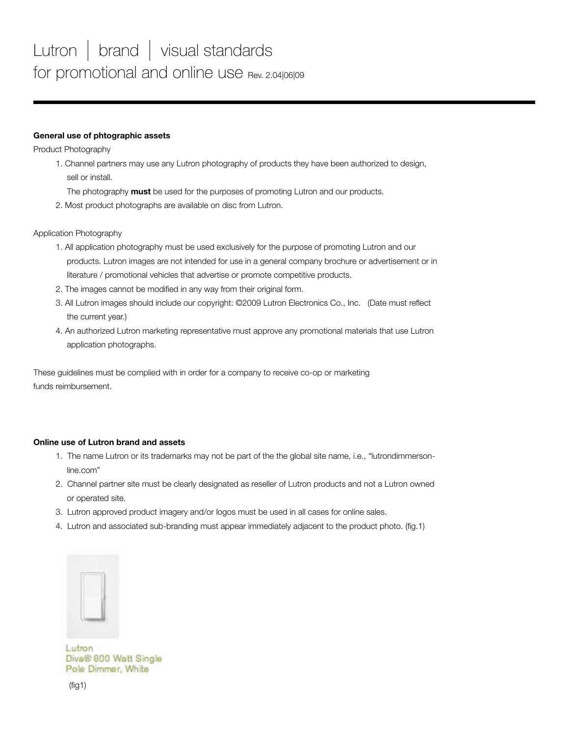## **General use of phtographic assets**

Product Photography

- 1. Channel partners may use any Lutron photography of products they have been authorized to design, sell or install.
	- The photography **must** be used for the purposes of promoting Lutron and our products.
- 2. Most product photographs are available on disc from Lutron.

Application Photography

- 1. All application photography must be used exclusively for the purpose of promoting Lutron and our products. Lutron images are not intended for use in a general company brochure or advertisement or in literature / promotional vehicles that advertise or promote competitive products.
- 2. The images cannot be modified in any way from their original form.
- 3. All Lutron images should include our copyright: ©2009 Lutron Electronics Co., Inc. (Date must reflect the current year.)
- 4. An authorized Lutron marketing representative must approve any promotional materials that use Lutron application photographs.

These guidelines must be complied with in order for a company to receive co-op or marketing funds reimbursement.

## **Online use of Lutron brand and assets**

- 1. The name Lutron or its trademarks may not be part of the the global site name, i.e., "lutrondimmersonline.com"
- 2. Channel partner site must be clearly designated as reseller of Lutron products and not a Lutron owned or operated site.
- 3. Lutron approved product imagery and/or logos must be used in all cases for online sales.
- 4. Lutron and associated sub-branding must appear immediately adjacent to the product photo. (fig.1)



Lutron Diva® 600 Watt Single Pole Dimmer, White